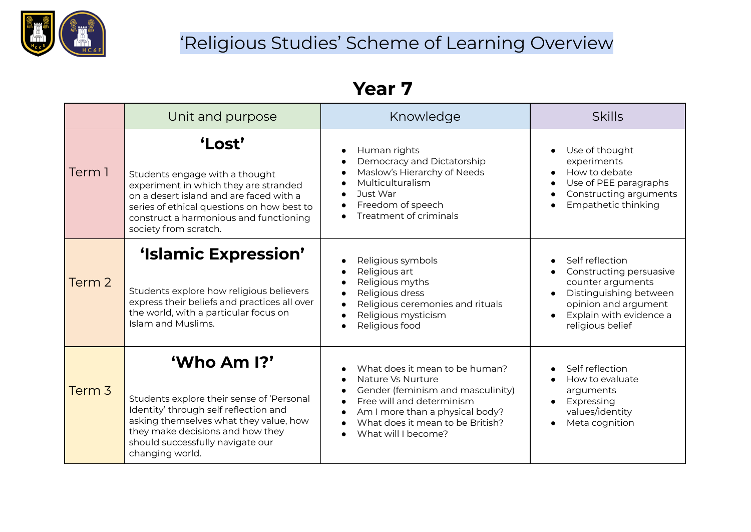

### 'Religious Studies' Scheme of Learning Overview

### **Year 7**

|                   | Unit and purpose                                                                                                                                                                                                                              | Knowledge                                                                                                                                                                                                                                                  | <b>Skills</b>                                                                                                                                                    |
|-------------------|-----------------------------------------------------------------------------------------------------------------------------------------------------------------------------------------------------------------------------------------------|------------------------------------------------------------------------------------------------------------------------------------------------------------------------------------------------------------------------------------------------------------|------------------------------------------------------------------------------------------------------------------------------------------------------------------|
| Term 1            | 'Lost'<br>Students engage with a thought<br>experiment in which they are stranded<br>on a desert island and are faced with a<br>series of ethical questions on how best to<br>construct a harmonious and functioning<br>society from scratch. | Human rights<br>$\bullet$<br>Democracy and Dictatorship<br>$\bullet$<br>Maslow's Hierarchy of Needs<br>$\bullet$<br>Multiculturalism<br>Just War<br>Freedom of speech<br>Treatment of criminals                                                            | Use of thought<br>experiments<br>How to debate<br>Use of PEE paragraphs<br>Constructing arguments<br>Empathetic thinking                                         |
| Term 2            | 'Islamic Expression'<br>Students explore how religious believers<br>express their beliefs and practices all over<br>the world, with a particular focus on<br>Islam and Muslims.                                                               | Religious symbols<br>Religious art<br>Religious myths<br>Religious dress<br>$\bullet$<br>Religious ceremonies and rituals<br>Religious mysticism<br>Religious food                                                                                         | Self reflection<br>Constructing persuasive<br>counter arguments<br>Distinguishing between<br>opinion and argument<br>Explain with evidence a<br>religious belief |
| Term <sub>3</sub> | 'Who Am I?'<br>Students explore their sense of 'Personal<br>Identity' through self reflection and<br>asking themselves what they value, how<br>they make decisions and how they<br>should successfully navigate our<br>changing world.        | What does it mean to be human?<br>Nature Vs Nurture<br>Gender (feminism and masculinity)<br>$\bullet$<br>Free will and determinism<br>$\bullet$<br>Am I more than a physical body?<br>$\bullet$<br>What does it mean to be British?<br>What will I become? | Self reflection<br>How to evaluate<br>arguments<br>Expressing<br>values/identity<br>Meta cognition                                                               |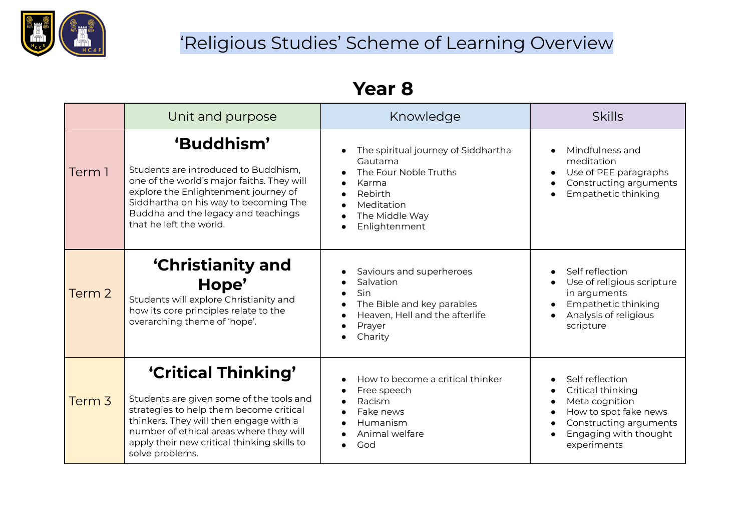

# 'Religious Studies' Scheme of Learning Overview

### **Year 8**

|        | Unit and purpose                                                                                                                                                                                                                                                  | Knowledge                                                                                                                                    | <b>Skills</b>                                                                                                                                     |
|--------|-------------------------------------------------------------------------------------------------------------------------------------------------------------------------------------------------------------------------------------------------------------------|----------------------------------------------------------------------------------------------------------------------------------------------|---------------------------------------------------------------------------------------------------------------------------------------------------|
| Term 1 | 'Buddhism'<br>Students are introduced to Buddhism,<br>one of the world's major faiths. They will<br>explore the Enlightenment journey of<br>Siddhartha on his way to becoming The<br>Buddha and the legacy and teachings<br>that he left the world.               | The spiritual journey of Siddhartha<br>Gautama<br>The Four Noble Truths<br>Karma<br>Rebirth<br>Meditation<br>The Middle Way<br>Enlightenment | Mindfulness and<br>meditation<br>Use of PEE paragraphs<br>Constructing arguments<br>Empathetic thinking                                           |
| Term 2 | <b>'Christianity and</b><br>Hope'<br>Students will explore Christianity and<br>how its core principles relate to the<br>overarching theme of 'hope'.                                                                                                              | Saviours and superheroes<br>Salvation<br>Sin<br>The Bible and key parables<br>Heaven, Hell and the afterlife<br>Prayer<br>Charity            | Self reflection<br>Use of religious scripture<br>in arguments<br>Empathetic thinking<br>Analysis of religious<br>scripture                        |
| Term 3 | 'Critical Thinking'<br>Students are given some of the tools and<br>strategies to help them become critical<br>thinkers. They will then engage with a<br>number of ethical areas where they will<br>apply their new critical thinking skills to<br>solve problems. | How to become a critical thinker<br>Free speech<br>Racism<br>Fake news<br>Humanism<br>Animal welfare<br>God                                  | Self reflection<br>Critical thinking<br>Meta cognition<br>How to spot fake news<br>Constructing arguments<br>Engaging with thought<br>experiments |